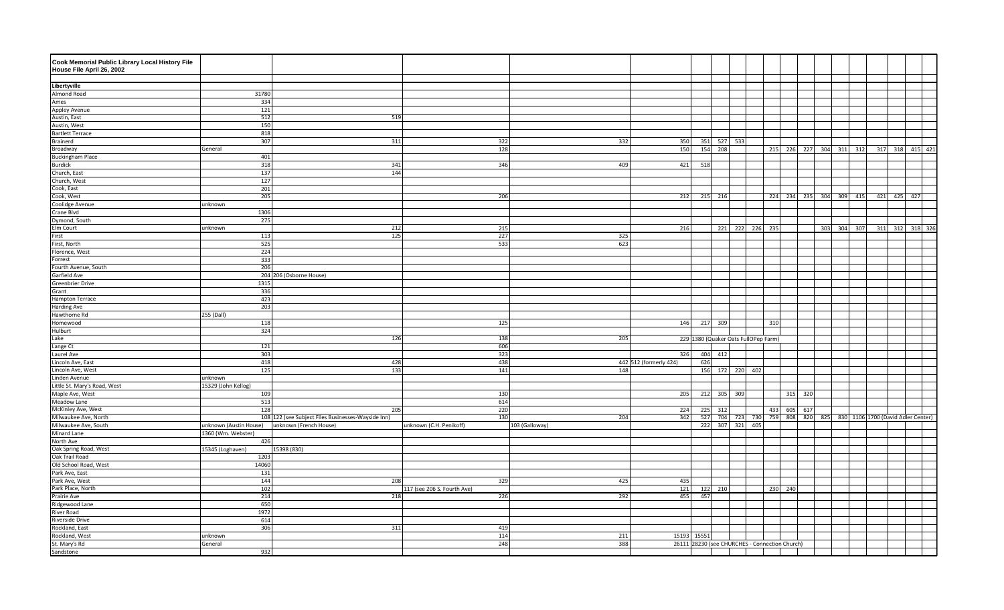| Cook Memorial Public Library Local History File |                        |                                                    |                             |                |                        |             |             |                 |                                                                    |     |         |                         |         |                 |  |
|-------------------------------------------------|------------------------|----------------------------------------------------|-----------------------------|----------------|------------------------|-------------|-------------|-----------------|--------------------------------------------------------------------|-----|---------|-------------------------|---------|-----------------|--|
| House File April 26, 2002                       |                        |                                                    |                             |                |                        |             |             |                 |                                                                    |     |         |                         |         |                 |  |
|                                                 |                        |                                                    |                             |                |                        |             |             |                 |                                                                    |     |         |                         |         |                 |  |
| Libertyville                                    |                        |                                                    |                             |                |                        |             |             |                 |                                                                    |     |         |                         |         |                 |  |
| Almond Road                                     | 31780                  |                                                    |                             |                |                        |             |             |                 |                                                                    |     |         |                         |         |                 |  |
| Ames                                            | 334                    |                                                    |                             |                |                        |             |             |                 |                                                                    |     |         |                         |         |                 |  |
| Appley Avenue                                   | 121                    |                                                    |                             |                |                        |             |             |                 |                                                                    |     |         |                         |         |                 |  |
| Austin, East                                    | 512                    | 519                                                |                             |                |                        |             |             |                 |                                                                    |     |         |                         |         |                 |  |
| Austin, West                                    | 150                    |                                                    |                             |                |                        |             |             |                 |                                                                    |     |         |                         |         |                 |  |
| <b>Bartlett Terrace</b>                         | 818                    |                                                    |                             |                |                        |             |             |                 |                                                                    |     |         |                         |         |                 |  |
| Brainerd                                        | 307                    | 311                                                | 322                         | 332            | 350                    |             |             | 351 527 533     |                                                                    |     |         |                         |         |                 |  |
|                                                 | General                |                                                    | 128                         |                | 150                    | $154$       | 208         |                 |                                                                    |     |         | 215 226 227 304 311 312 | 317 318 | 415 421         |  |
| Broadway                                        |                        |                                                    |                             |                |                        |             |             |                 |                                                                    |     |         |                         |         |                 |  |
| <b>Buckingham Place</b>                         | 401                    |                                                    |                             |                |                        |             |             |                 |                                                                    |     |         |                         |         |                 |  |
| <b>Burdick</b>                                  | 318                    | 341                                                | 346                         | 409            | 421                    | 518         |             |                 |                                                                    |     |         |                         |         |                 |  |
| Church, East                                    | 137                    | 144                                                |                             |                |                        |             |             |                 |                                                                    |     |         |                         |         |                 |  |
| Church, West                                    | 127                    |                                                    |                             |                |                        |             |             |                 |                                                                    |     |         |                         |         |                 |  |
| Cook, East                                      | 201                    |                                                    |                             |                |                        |             |             |                 |                                                                    |     |         |                         |         |                 |  |
| Cook, West                                      | 205                    |                                                    | 206                         |                | 212                    |             | 215 216     |                 |                                                                    |     |         | 224 234 235 304 309 415 | 421 425 | 427             |  |
| Coolidge Avenue                                 | unknown                |                                                    |                             |                |                        |             |             |                 |                                                                    |     |         |                         |         |                 |  |
| Crane Blvd                                      | 1306                   |                                                    |                             |                |                        |             |             |                 |                                                                    |     |         |                         |         |                 |  |
| Dymond, South                                   | 275                    |                                                    |                             |                |                        |             |             |                 |                                                                    |     |         |                         |         |                 |  |
| Elm Court                                       | unknown                | 212                                                | 215                         |                | 216                    |             |             |                 | 221 222 226 235                                                    |     |         | 303 304 307             |         | 311 312 318 326 |  |
| First                                           | 113                    | $\boxed{125}$                                      | 227                         | 325            |                        |             |             |                 |                                                                    |     |         |                         |         |                 |  |
| First, North                                    | 525                    |                                                    | 533                         | 623            |                        |             |             |                 |                                                                    |     |         |                         |         |                 |  |
| Florence, West                                  | 224                    |                                                    |                             |                |                        |             |             |                 |                                                                    |     |         |                         |         |                 |  |
| Forrest                                         | 333                    |                                                    |                             |                |                        |             |             |                 |                                                                    |     |         |                         |         |                 |  |
| Fourth Avenue, South                            | 206                    |                                                    |                             |                |                        |             |             |                 |                                                                    |     |         |                         |         |                 |  |
| Garfield Ave                                    |                        | 204 206 (Osborne House)                            |                             |                |                        |             |             |                 |                                                                    |     |         |                         |         |                 |  |
| Greenbrier Drive                                | 1315                   |                                                    |                             |                |                        |             |             |                 |                                                                    |     |         |                         |         |                 |  |
| Grant                                           | 336                    |                                                    |                             |                |                        |             |             |                 |                                                                    |     |         |                         |         |                 |  |
| Hampton Terrace                                 | 423                    |                                                    |                             |                |                        |             |             |                 |                                                                    |     |         |                         |         |                 |  |
| Harding Ave                                     | 203                    |                                                    |                             |                |                        |             |             |                 |                                                                    |     |         |                         |         |                 |  |
|                                                 |                        |                                                    |                             |                |                        |             |             |                 |                                                                    |     |         |                         |         |                 |  |
| Hawthorne Rd                                    | 255 (Dall)             |                                                    |                             |                |                        |             |             |                 |                                                                    |     |         |                         |         |                 |  |
| Homewood                                        | 118                    |                                                    | 125                         |                | 146                    | 217 309     |             |                 | 310                                                                |     |         |                         |         |                 |  |
| Hulburt                                         | 324                    |                                                    |                             |                |                        |             |             |                 |                                                                    |     |         |                         |         |                 |  |
| Lake                                            |                        | 126                                                | 138                         | 205            |                        |             |             |                 | 229 1380 (Quaker Oats FullOPep Farm)                               |     |         |                         |         |                 |  |
| Lange Ct                                        | 121                    |                                                    | 606                         |                |                        |             |             |                 |                                                                    |     |         |                         |         |                 |  |
| Laurel Ave                                      | 303                    |                                                    | 323                         |                | 326                    | 404         | 412         |                 |                                                                    |     |         |                         |         |                 |  |
| incoln Ave, East                                | 418                    | 428                                                | 438                         |                | 442 512 (formerly 424) | 626         |             |                 |                                                                    |     |         |                         |         |                 |  |
| Lincoln Ave, West                               | 125                    | 133                                                | 141                         | 148            |                        |             |             | 156 172 220 402 |                                                                    |     |         |                         |         |                 |  |
| Linden Avenue                                   | unknown                |                                                    |                             |                |                        |             |             |                 |                                                                    |     |         |                         |         |                 |  |
| Little St. Mary's Road, West                    | 15329 (John Kellog)    |                                                    |                             |                |                        |             |             |                 |                                                                    |     |         |                         |         |                 |  |
| Maple Ave, West                                 | 109                    |                                                    | 130                         |                | 205                    |             | 212 305 309 |                 |                                                                    |     | 315 320 |                         |         |                 |  |
| Meadow Lane                                     | 513                    |                                                    | 614                         |                |                        |             |             |                 |                                                                    |     |         |                         |         |                 |  |
| McKinley Ave, West                              | 128                    | 205                                                | 220                         |                | 224                    |             | 225 312     |                 | 433                                                                |     | 605 617 |                         |         |                 |  |
| Milwaukee Ave, North                            |                        | 108 122 (see Subject Files Businesses-Wayside Inn) | 130                         | 204            | 342                    |             |             |                 | 527 704 723 730 759 808 820 825 830 1106 1700 (David Adler Center) |     |         |                         |         |                 |  |
| Milwaukee Ave, South                            | unknown (Austin House) | unknown (French House)                             | unknown (C.H. Penikoff)     | 103 (Galloway) |                        |             |             | 222 307 321 405 |                                                                    |     |         |                         |         |                 |  |
| Minard Lane                                     | 1360 (Wm. Webster)     |                                                    |                             |                |                        |             |             |                 |                                                                    |     |         |                         |         |                 |  |
| North Ave                                       | 426                    |                                                    |                             |                |                        |             |             |                 |                                                                    |     |         |                         |         |                 |  |
| Oak Spring Road, West                           | 15345 (Loghaven)       | 15398 (830)                                        |                             |                |                        |             |             |                 |                                                                    |     |         |                         |         |                 |  |
| Oak Trail Road                                  | 1203                   |                                                    |                             |                |                        |             |             |                 |                                                                    |     |         |                         |         |                 |  |
| Old School Road, West                           | 14060                  |                                                    |                             |                |                        |             |             |                 |                                                                    |     |         |                         |         |                 |  |
| Park Ave, East                                  | 131                    |                                                    |                             |                |                        |             |             |                 |                                                                    |     |         |                         |         |                 |  |
| Park Ave, West                                  | 144                    | 208                                                | 329                         | 425            | 435                    |             |             |                 |                                                                    |     |         |                         |         |                 |  |
| Park Place, North                               | 102                    |                                                    | 117 (see 206 S. Fourth Ave) |                | 121                    |             | 122 210     |                 | 230                                                                | 240 |         |                         |         |                 |  |
| Prairie Ave                                     | 214                    | 218                                                | 226                         | 292            | 455                    | 457         |             |                 |                                                                    |     |         |                         |         |                 |  |
|                                                 |                        |                                                    |                             |                |                        |             |             |                 |                                                                    |     |         |                         |         |                 |  |
| Ridgewood Lane                                  | 650<br>1972            |                                                    |                             |                |                        |             |             |                 |                                                                    |     |         |                         |         |                 |  |
| River Road                                      |                        |                                                    |                             |                |                        |             |             |                 |                                                                    |     |         |                         |         |                 |  |
| Riverside Drive                                 | 614                    |                                                    |                             |                |                        |             |             |                 |                                                                    |     |         |                         |         |                 |  |
| Rockland, East                                  | 306                    | 311                                                | 419                         |                |                        |             |             |                 |                                                                    |     |         |                         |         |                 |  |
| Rockland, West                                  | unknown                |                                                    | 114                         | 211            |                        | 15193 15551 |             |                 |                                                                    |     |         |                         |         |                 |  |
| St. Mary's Rd                                   | General                |                                                    | 248                         | 388            |                        |             |             |                 | 26111 28230 (see CHURCHES - Connection Church)                     |     |         |                         |         |                 |  |
| Sandstone                                       | 932                    |                                                    |                             |                |                        |             |             |                 |                                                                    |     |         |                         |         |                 |  |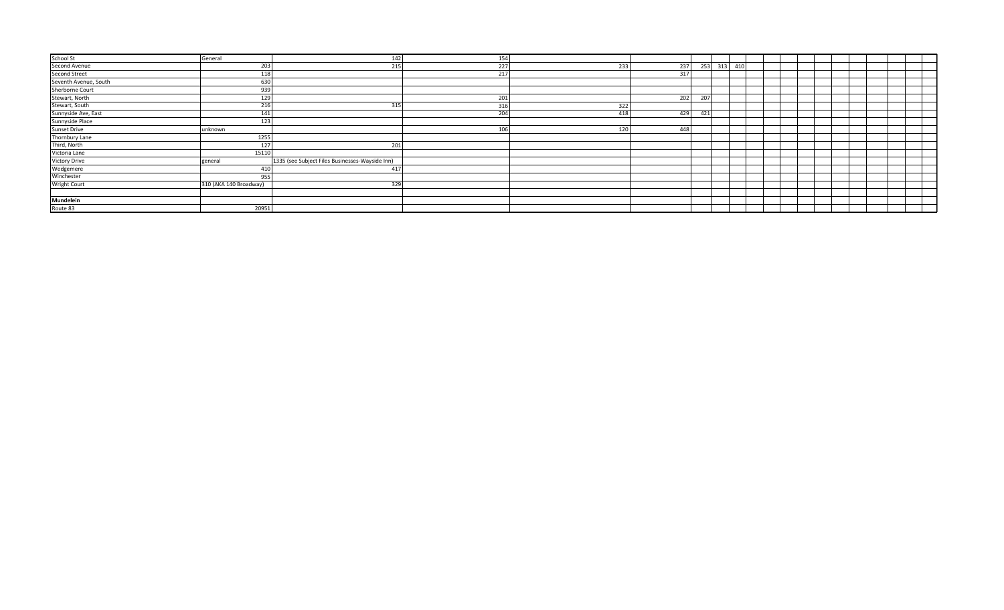| School St             | General                | 142                                             | 154 |     |     |     |     |     |  |  |  |  |
|-----------------------|------------------------|-------------------------------------------------|-----|-----|-----|-----|-----|-----|--|--|--|--|
| Second Avenue         | 203                    | 215                                             | 227 | 233 | 237 | 253 | 313 | 410 |  |  |  |  |
| <b>Second Street</b>  | 118                    |                                                 | 217 |     | 317 |     |     |     |  |  |  |  |
| Seventh Avenue, South | 630                    |                                                 |     |     |     |     |     |     |  |  |  |  |
| Sherborne Court       | 939                    |                                                 |     |     |     |     |     |     |  |  |  |  |
| Stewart, North        | 129                    |                                                 | 201 |     | 202 | 207 |     |     |  |  |  |  |
| Stewart, South        | 216                    | 315                                             | 316 | 322 |     |     |     |     |  |  |  |  |
| Sunnyside Ave, East   | 141                    |                                                 | 204 | 418 | 429 | 421 |     |     |  |  |  |  |
| Sunnyside Place       | 123                    |                                                 |     |     |     |     |     |     |  |  |  |  |
| <b>Sunset Drive</b>   | unknown                |                                                 | 106 | 120 | 448 |     |     |     |  |  |  |  |
| Thornbury Lane        | 1255                   |                                                 |     |     |     |     |     |     |  |  |  |  |
| Third, North          | 127                    | 201                                             |     |     |     |     |     |     |  |  |  |  |
| Victoria Lane         | 15110                  |                                                 |     |     |     |     |     |     |  |  |  |  |
| <b>Victory Drive</b>  | general                | 1335 (see Subject Files Businesses-Wayside Inn) |     |     |     |     |     |     |  |  |  |  |
| Wedgemere             | 410                    | 417                                             |     |     |     |     |     |     |  |  |  |  |
| Winchester            | 955                    |                                                 |     |     |     |     |     |     |  |  |  |  |
| <b>Wright Court</b>   | 310 (AKA 140 Broadway) | 329                                             |     |     |     |     |     |     |  |  |  |  |
|                       |                        |                                                 |     |     |     |     |     |     |  |  |  |  |
| <b>Mundelein</b>      |                        |                                                 |     |     |     |     |     |     |  |  |  |  |
| Route 83              | 20951                  |                                                 |     |     |     |     |     |     |  |  |  |  |